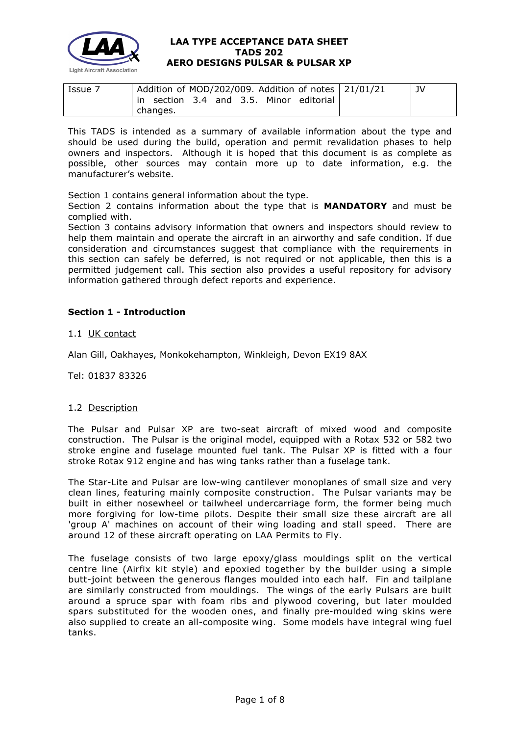

| Issue 7 | Addition of MOD/202/009. Addition of notes $ 21/01/21 $ | JV |
|---------|---------------------------------------------------------|----|
|         | in section 3.4 and 3.5. Minor editorial                 |    |
|         | changes.                                                |    |

This TADS is intended as a summary of available information about the type and should be used during the build, operation and permit revalidation phases to help owners and inspectors. Although it is hoped that this document is as complete as possible, other sources may contain more up to date information, e.g. the manufacturer's website.

Section 1 contains general information about the type.

Section 2 contains information about the type that is **MANDATORY** and must be complied with.

Section 3 contains advisory information that owners and inspectors should review to help them maintain and operate the aircraft in an airworthy and safe condition. If due consideration and circumstances suggest that compliance with the requirements in this section can safely be deferred, is not required or not applicable, then this is a permitted judgement call. This section also provides a useful repository for advisory information gathered through defect reports and experience.

# **Section 1 - Introduction**

1.1 UK contact

Alan Gill, Oakhayes, Monkokehampton, Winkleigh, Devon EX19 8AX

Tel: 01837 83326

#### 1.2 Description

The Pulsar and Pulsar XP are two-seat aircraft of mixed wood and composite construction. The Pulsar is the original model, equipped with a Rotax 532 or 582 two stroke engine and fuselage mounted fuel tank. The Pulsar XP is fitted with a four stroke Rotax 912 engine and has wing tanks rather than a fuselage tank.

The Star-Lite and Pulsar are low-wing cantilever monoplanes of small size and very clean lines, featuring mainly composite construction. The Pulsar variants may be built in either nosewheel or tailwheel undercarriage form, the former being much more forgiving for low-time pilots. Despite their small size these aircraft are all 'group A' machines on account of their wing loading and stall speed. There are around 12 of these aircraft operating on LAA Permits to Fly.

The fuselage consists of two large epoxy/glass mouldings split on the vertical centre line (Airfix kit style) and epoxied together by the builder using a simple butt-joint between the generous flanges moulded into each half. Fin and tailplane are similarly constructed from mouldings. The wings of the early Pulsars are built around a spruce spar with foam ribs and plywood covering, but later moulded spars substituted for the wooden ones, and finally pre-moulded wing skins were also supplied to create an all-composite wing. Some models have integral wing fuel tanks.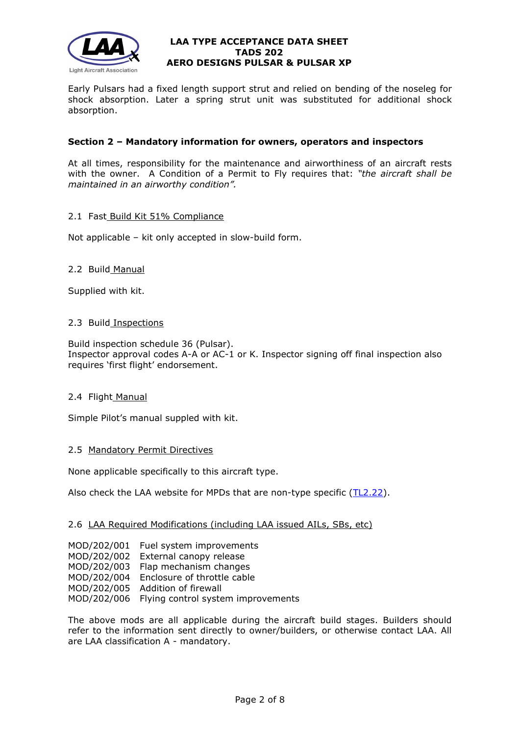

Early Pulsars had a fixed length support strut and relied on bending of the noseleg for shock absorption. Later a spring strut unit was substituted for additional shock absorption.

# **Section 2 – Mandatory information for owners, operators and inspectors**

At all times, responsibility for the maintenance and airworthiness of an aircraft rests with the owner. A Condition of a Permit to Fly requires that: *"the aircraft shall be maintained in an airworthy condition".* 

# 2.1 Fast\_Build Kit 51% Compliance

Not applicable – kit only accepted in slow-build form.

# 2.2 Build Manual

Supplied with kit.

#### 2.3 Build Inspections

Build inspection schedule 36 (Pulsar). Inspector approval codes A-A or AC-1 or K. Inspector signing off final inspection also requires 'first flight' endorsement.

# 2.4 Flight Manual

Simple Pilot's manual suppled with kit.

# 2.5 Mandatory Permit Directives

None applicable specifically to this aircraft type.

Also check the LAA website for MPDs that are non-type specific [\(TL2.22\)](http://www.lightaircraftassociation.co.uk/engineering/TechnicalLeaflets/Operating%20An%20Aircraft/TL%202.22%20non-type%20specific%20MPDs.pdf).

#### 2.6 LAA Required Modifications (including LAA issued AILs, SBs, etc)

| MOD/202/001 | Fuel system improvements                       |
|-------------|------------------------------------------------|
|             | MOD/202/002 External canopy release            |
|             | MOD/202/003 Flap mechanism changes             |
|             | MOD/202/004 Enclosure of throttle cable        |
|             | MOD/202/005 Addition of firewall               |
|             | MOD/202/006 Flying control system improvements |
|             |                                                |

The above mods are all applicable during the aircraft build stages. Builders should refer to the information sent directly to owner/builders, or otherwise contact LAA. All are LAA classification A - mandatory.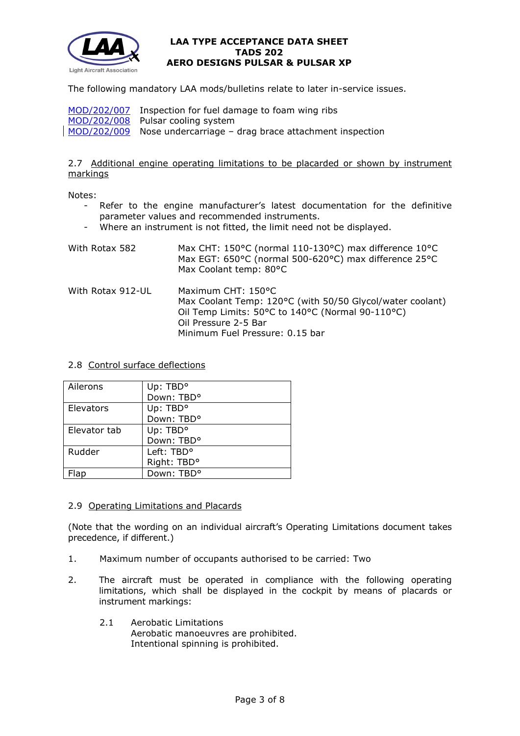

The following mandatory LAA mods/bulletins relate to later in-service issues.

| MOD/202/007 Inspection for fuel damage to foam wing ribs          |
|-------------------------------------------------------------------|
| MOD/202/008 Pulsar cooling system                                 |
| MOD/202/009 Nose undercarriage - drag brace attachment inspection |

# 2.7 Additional engine operating limitations to be placarded or shown by instrument markings

Notes:

- Refer to the engine manufacturer's latest documentation for the definitive parameter values and recommended instruments.
- Where an instrument is not fitted, the limit need not be displayed.

| With Rotax 582    | Max CHT: 150°C (normal 110-130°C) max difference 10°C<br>Max EGT: 650°C (normal 500-620°C) max difference 25°C<br>Max Coolant temp: 80°C                                                       |
|-------------------|------------------------------------------------------------------------------------------------------------------------------------------------------------------------------------------------|
| With Rotax 912-UL | Maximum CHT: 150°C<br>Max Coolant Temp: 120°C (with 50/50 Glycol/water coolant)<br>Oil Temp Limits: 50°C to 140°C (Normal 90-110°C)<br>Oil Pressure 2-5 Bar<br>Minimum Fuel Pressure: 0.15 bar |

# 2.8 Control surface deflections

| Ailerons     | Up: TBD <sup>o</sup>   |
|--------------|------------------------|
|              | Down: TBD°             |
| Elevators    | Up: TBD <sup>o</sup>   |
|              | Down: TBD°             |
| Elevator tab | Up: TBD <sup>o</sup>   |
|              | Down: TBD°             |
| Rudder       | Left: TBD <sup>o</sup> |
|              | Right: TBD°            |
|              | Down: TBD <sup>o</sup> |

# 2.9 Operating Limitations and Placards

(Note that the wording on an individual aircraft's Operating Limitations document takes precedence, if different.)

- 1. Maximum number of occupants authorised to be carried: Two
- 2. The aircraft must be operated in compliance with the following operating limitations, which shall be displayed in the cockpit by means of placards or instrument markings:
	- 2.1 Aerobatic Limitations Aerobatic manoeuvres are prohibited. Intentional spinning is prohibited.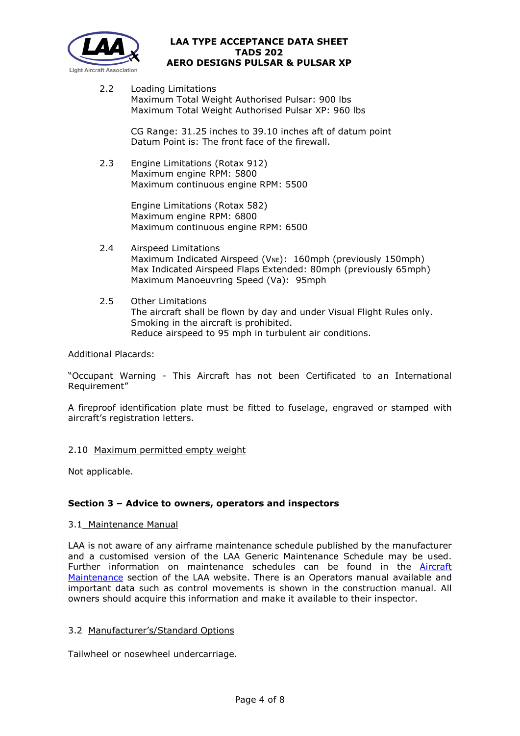

2.2 Loading Limitations Maximum Total Weight Authorised Pulsar: 900 lbs Maximum Total Weight Authorised Pulsar XP: 960 lbs

> CG Range: 31.25 inches to 39.10 inches aft of datum point Datum Point is: The front face of the firewall.

2.3 Engine Limitations (Rotax 912) Maximum engine RPM: 5800 Maximum continuous engine RPM: 5500

> Engine Limitations (Rotax 582) Maximum engine RPM: 6800 Maximum continuous engine RPM: 6500

- 2.4 Airspeed Limitations Maximum Indicated Airspeed ( $V_{NE}$ ): 160mph (previously 150mph) Max Indicated Airspeed Flaps Extended: 80mph (previously 65mph) Maximum Manoeuvring Speed (Va): 95mph
- 2.5 Other Limitations The aircraft shall be flown by day and under Visual Flight Rules only. Smoking in the aircraft is prohibited. Reduce airspeed to 95 mph in turbulent air conditions.

Additional Placards:

"Occupant Warning - This Aircraft has not been Certificated to an International Requirement"

A fireproof identification plate must be fitted to fuselage, engraved or stamped with aircraft's registration letters.

# 2.10 Maximum permitted empty weight

Not applicable.

# **Section 3 – Advice to owners, operators and inspectors**

# 3.1 Maintenance Manual

LAA is not aware of any airframe maintenance schedule published by the manufacturer and a customised version of the LAA Generic Maintenance Schedule may be used. Further information on maintenance schedules can be found in the [Aircraft](http://www.lightaircraftassociation.co.uk/engineering/Maintenance/Aircraft_Maintenance.html)  [Maintenance](http://www.lightaircraftassociation.co.uk/engineering/Maintenance/Aircraft_Maintenance.html) section of the LAA website. There is an Operators manual available and important data such as control movements is shown in the construction manual. All owners should acquire this information and make it available to their inspector.

# 3.2 Manufacturer's/Standard Options

Tailwheel or nosewheel undercarriage.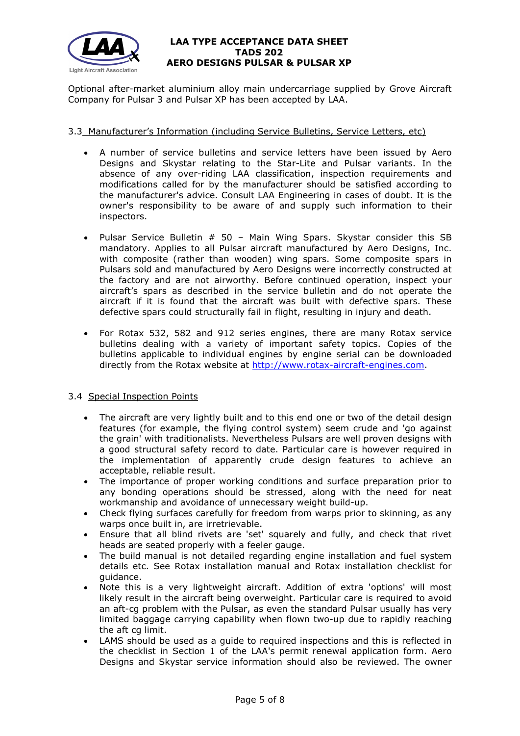

Optional after-market aluminium alloy main undercarriage supplied by Grove Aircraft Company for Pulsar 3 and Pulsar XP has been accepted by LAA.

# 3.3 Manufacturer's Information (including Service Bulletins, Service Letters, etc)

- A number of service bulletins and service letters have been issued by Aero Designs and Skystar relating to the Star-Lite and Pulsar variants. In the absence of any over-riding LAA classification, inspection requirements and modifications called for by the manufacturer should be satisfied according to the manufacturer's advice. Consult LAA Engineering in cases of doubt. It is the owner's responsibility to be aware of and supply such information to their inspectors.
- Pulsar Service Bulletin  $# 50 -$  Main Wing Spars. Skystar consider this SB mandatory. Applies to all Pulsar aircraft manufactured by Aero Designs, Inc. with composite (rather than wooden) wing spars. Some composite spars in Pulsars sold and manufactured by Aero Designs were incorrectly constructed at the factory and are not airworthy. Before continued operation, inspect your aircraft's spars as described in the service bulletin and do not operate the aircraft if it is found that the aircraft was built with defective spars. These defective spars could structurally fail in flight, resulting in injury and death.
- For Rotax 532, 582 and 912 series engines, there are many Rotax service bulletins dealing with a variety of important safety topics. Copies of the bulletins applicable to individual engines by engine serial can be downloaded directly from the Rotax website at [http://www.rotax-aircraft-engines.com.](http://www.rotax-aircraft-engines.com/)

# 3.4 Special Inspection Points

- The aircraft are very lightly built and to this end one or two of the detail design features (for example, the flying control system) seem crude and 'go against the grain' with traditionalists. Nevertheless Pulsars are well proven designs with a good structural safety record to date. Particular care is however required in the implementation of apparently crude design features to achieve an acceptable, reliable result.
- The importance of proper working conditions and surface preparation prior to any bonding operations should be stressed, along with the need for neat workmanship and avoidance of unnecessary weight build-up.
- Check flying surfaces carefully for freedom from warps prior to skinning, as any warps once built in, are irretrievable.
- Ensure that all blind rivets are 'set' squarely and fully, and check that rivet heads are seated properly with a feeler gauge.
- The build manual is not detailed regarding engine installation and fuel system details etc. See Rotax installation manual and Rotax installation checklist for guidance.
- Note this is a very lightweight aircraft. Addition of extra 'options' will most likely result in the aircraft being overweight. Particular care is required to avoid an aft-cg problem with the Pulsar, as even the standard Pulsar usually has very limited baggage carrying capability when flown two-up due to rapidly reaching the aft cg limit.
- LAMS should be used as a quide to required inspections and this is reflected in the checklist in Section 1 of the LAA's permit renewal application form. Aero Designs and Skystar service information should also be reviewed. The owner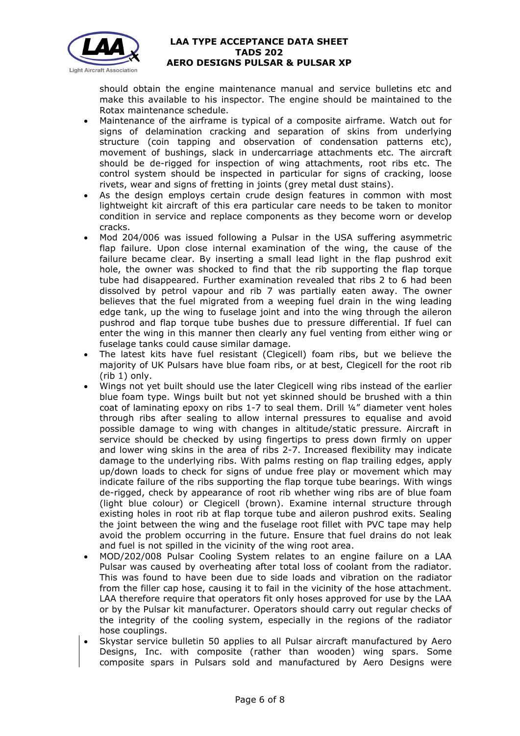

should obtain the engine maintenance manual and service bulletins etc and make this available to his inspector. The engine should be maintained to the Rotax maintenance schedule.

- Maintenance of the airframe is typical of a composite airframe. Watch out for signs of delamination cracking and separation of skins from underlying structure (coin tapping and observation of condensation patterns etc), movement of bushings, slack in undercarriage attachments etc. The aircraft should be de-rigged for inspection of wing attachments, root ribs etc. The control system should be inspected in particular for signs of cracking, loose rivets, wear and signs of fretting in joints (grey metal dust stains).
- As the design employs certain crude design features in common with most lightweight kit aircraft of this era particular care needs to be taken to monitor condition in service and replace components as they become worn or develop cracks.
- Mod 204/006 was issued following a Pulsar in the USA suffering asymmetric flap failure. Upon close internal examination of the wing, the cause of the failure became clear. By inserting a small lead light in the flap pushrod exit hole, the owner was shocked to find that the rib supporting the flap torque tube had disappeared. Further examination revealed that ribs 2 to 6 had been dissolved by petrol vapour and rib 7 was partially eaten away. The owner believes that the fuel migrated from a weeping fuel drain in the wing leading edge tank, up the wing to fuselage joint and into the wing through the aileron pushrod and flap torque tube bushes due to pressure differential. If fuel can enter the wing in this manner then clearly any fuel venting from either wing or fuselage tanks could cause similar damage.
- The latest kits have fuel resistant (Clegicell) foam ribs, but we believe the majority of UK Pulsars have blue foam ribs, or at best, Clegicell for the root rib (rib 1) only.
- Wings not yet built should use the later Clegicell wing ribs instead of the earlier blue foam type. Wings built but not yet skinned should be brushed with a thin coat of laminating epoxy on ribs 1-7 to seal them. Drill ¼" diameter vent holes through ribs after sealing to allow internal pressures to equalise and avoid possible damage to wing with changes in altitude/static pressure. Aircraft in service should be checked by using fingertips to press down firmly on upper and lower wing skins in the area of ribs 2-7. Increased flexibility may indicate damage to the underlying ribs. With palms resting on flap trailing edges, apply up/down loads to check for signs of undue free play or movement which may indicate failure of the ribs supporting the flap torque tube bearings. With wings de-rigged, check by appearance of root rib whether wing ribs are of blue foam (light blue colour) or Clegicell (brown). Examine internal structure through existing holes in root rib at flap torque tube and aileron pushrod exits. Sealing the joint between the wing and the fuselage root fillet with PVC tape may help avoid the problem occurring in the future. Ensure that fuel drains do not leak and fuel is not spilled in the vicinity of the wing root area.
- MOD/202/008 Pulsar Cooling System relates to an engine failure on a LAA Pulsar was caused by overheating after total loss of coolant from the radiator. This was found to have been due to side loads and vibration on the radiator from the filler cap hose, causing it to fail in the vicinity of the hose attachment. LAA therefore require that operators fit only hoses approved for use by the LAA or by the Pulsar kit manufacturer. Operators should carry out regular checks of the integrity of the cooling system, especially in the regions of the radiator hose couplings.
- Skystar service bulletin 50 applies to all Pulsar aircraft manufactured by Aero Designs, Inc. with composite (rather than wooden) wing spars. Some composite spars in Pulsars sold and manufactured by Aero Designs were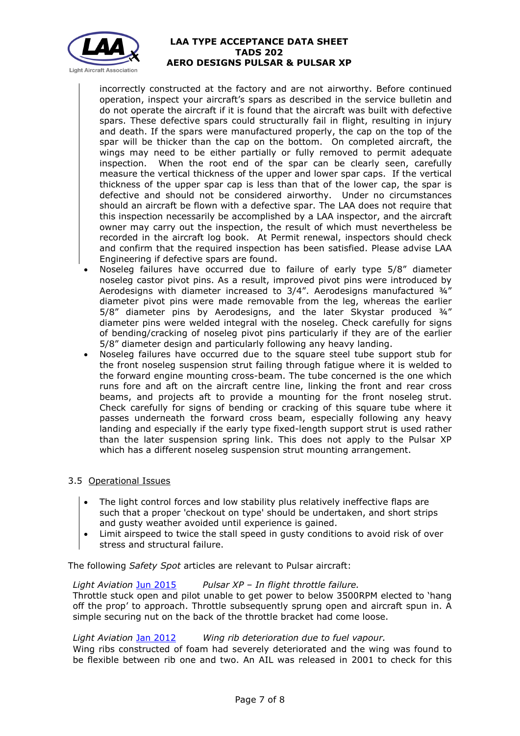

incorrectly constructed at the factory and are not airworthy. Before continued operation, inspect your aircraft's spars as described in the service bulletin and do not operate the aircraft if it is found that the aircraft was built with defective spars. These defective spars could structurally fail in flight, resulting in injury and death. If the spars were manufactured properly, the cap on the top of the spar will be thicker than the cap on the bottom. On completed aircraft, the wings may need to be either partially or fully removed to permit adequate inspection. When the root end of the spar can be clearly seen, carefully measure the vertical thickness of the upper and lower spar caps. If the vertical thickness of the upper spar cap is less than that of the lower cap, the spar is defective and should not be considered airworthy. Under no circumstances should an aircraft be flown with a defective spar. The LAA does not require that this inspection necessarily be accomplished by a LAA inspector, and the aircraft owner may carry out the inspection, the result of which must nevertheless be recorded in the aircraft log book. At Permit renewal, inspectors should check and confirm that the required inspection has been satisfied. Please advise LAA Engineering if defective spars are found.

- Noseleg failures have occurred due to failure of early type 5/8" diameter noseleg castor pivot pins. As a result, improved pivot pins were introduced by Aerodesigns with diameter increased to 3/4". Aerodesigns manufactured ¾" diameter pivot pins were made removable from the leg, whereas the earlier 5/8" diameter pins by Aerodesigns, and the later Skystar produced ¾" diameter pins were welded integral with the noseleg. Check carefully for signs of bending/cracking of noseleg pivot pins particularly if they are of the earlier 5/8" diameter design and particularly following any heavy landing.
- Noseleg failures have occurred due to the square steel tube support stub for the front noseleg suspension strut failing through fatigue where it is welded to the forward engine mounting cross-beam. The tube concerned is the one which runs fore and aft on the aircraft centre line, linking the front and rear cross beams, and projects aft to provide a mounting for the front noseleg strut. Check carefully for signs of bending or cracking of this square tube where it passes underneath the forward cross beam, especially following any heavy landing and especially if the early type fixed-length support strut is used rather than the later suspension spring link. This does not apply to the Pulsar XP which has a different noseleg suspension strut mounting arrangement.

# 3.5 Operational Issues

- The light control forces and low stability plus relatively ineffective flaps are such that a proper 'checkout on type' should be undertaken, and short strips and gusty weather avoided until experience is gained.
- Limit airspeed to twice the stall speed in gusty conditions to avoid risk of over stress and structural failure.

The following *Safety Spot* articles are relevant to Pulsar aircraft:

# *Light Aviation* [Jun 2015](http://www.lightaircraftassociation.co.uk/2015/Magazine/Jun/Safety%20Spot.pdf) *Pulsar XP – In flight throttle failure.*  Throttle stuck open and pilot unable to get power to below 3500RPM elected to 'hang off the prop' to approach. Throttle subsequently sprung open and aircraft spun in. A simple securing nut on the back of the throttle bracket had come loose.

# *Light Aviation* [Jan 2012](http://www.lightaircraftassociation.co.uk/2012/Magazine/Jan/Safety%20Spot.pdf) *Wing rib deterioration due to fuel vapour.*

Wing ribs constructed of foam had severely deteriorated and the wing was found to be flexible between rib one and two. An AIL was released in 2001 to check for this